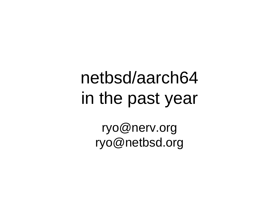### netbsd/aarch64 in the past year

ryo@nerv.org ryo@netbsd.org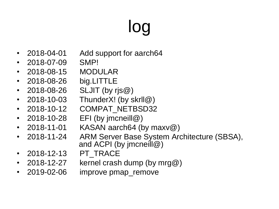# log

- 2018-04-01 Add support for aarch64
- 2018-07-09 SMP!
- 2018-08-15 MODULAR
- 2018-08-26 big.LITTLE
- 2018-08-26 SLJIT (by ris  $@$ )
- 2018-10-03 ThunderX! (by skrII $@$ )
- 2018-10-12 COMPAT\_NETBSD32
- 2018-10-28 EFI (by jmcneill@)
- 2018-11-01 KASAN aarch64 (by maxv $@$ )
- 2018-11-24 ARM Server Base System Architecture (SBSA), and ACPI (by jmcneill@)
- 2018-12-13 PT\_TRACE
- 2018-12-27 kernel crash dump (by mrg $@$ )
- 2019-02-06 improve pmap remove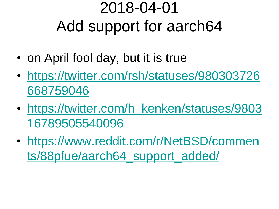#### 2018-04-01 Add support for aarch64

- on April fool day, but it is true
- [https://twitter.com/rsh/statuses/980303726](https://twitter.com/rsh/statuses/980303726668759046) [668759046](https://twitter.com/rsh/statuses/980303726668759046)
- https://twitter.com/h kenken/statuses/9803 [16789505540096](https://twitter.com/h_kenken/statuses/980316789505540096)
- [https://www.reddit.com/r/NetBSD/commen](https://www.reddit.com/r/NetBSD/comments/88pfue/aarch64_support_added/) [ts/88pfue/aarch64\\_support\\_added/](https://www.reddit.com/r/NetBSD/comments/88pfue/aarch64_support_added/)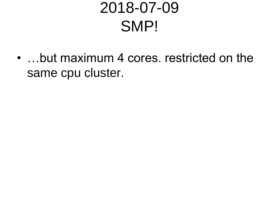#### 2018-07-09 SMP!

• ... but maximum 4 cores. restricted on the same cpu cluster.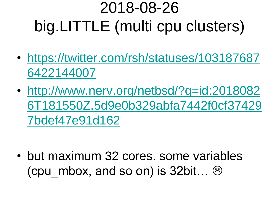### 2018-08-26 big.LITTLE (multi cpu clusters)

- [https://twitter.com/rsh/statuses/103187687](https://twitter.com/rsh/statuses/1031876876422144007) [6422144007](https://twitter.com/rsh/statuses/1031876876422144007)
- [http://www.nerv.org/netbsd/?q=id:2018082](http://www.nerv.org/netbsd/?q=id:20180826T181550Z.5d9e0b329abfa7442f0cf374297bdef47e91d162) [6T181550Z.5d9e0b329abfa7442f0cf37429](http://www.nerv.org/netbsd/?q=id:20180826T181550Z.5d9e0b329abfa7442f0cf374297bdef47e91d162) [7bdef47e91d162](http://www.nerv.org/netbsd/?q=id:20180826T181550Z.5d9e0b329abfa7442f0cf374297bdef47e91d162)

• but maximum 32 cores, some variables (cpu mbox, and so on) is 32bit…  $\odot$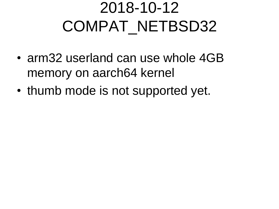#### 2018-10-12 COMPAT\_NETBSD32

- arm32 userland can use whole 4GB memory on aarch64 kernel
- thumb mode is not supported yet.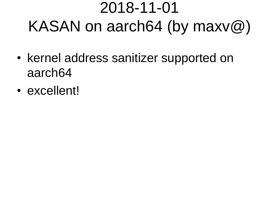#### 2018-11-01 KASAN on aarch64 (by maxv@)

- kernel address sanitizer supported on aarch64
- excellent!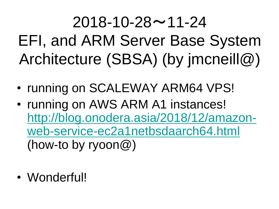$2018 - 10 - 28 \sim 11 - 24$ EFI, and ARM Server Base System Architecture (SBSA) (by jmcneill@)

- running on SCALEWAY ARM64 VPS!
- running on AWS ARM A1 instances! [http://blog.onodera.asia/2018/12/amazon](http://blog.onodera.asia/2018/12/amazon-web-service-ec2a1netbsdaarch64.html)[web-service-ec2a1netbsdaarch64.html](http://blog.onodera.asia/2018/12/amazon-web-service-ec2a1netbsdaarch64.html) (how-to by ryoon@)
- Wonderful!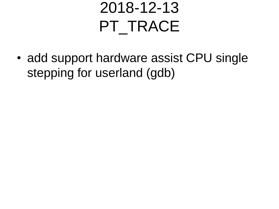#### 2018-12-13 PT\_TRACE

• add support hardware assist CPU single stepping for userland (gdb)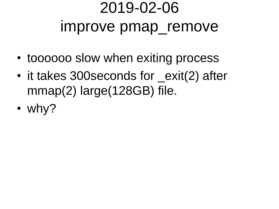#### 2019-02-06 improve pmap\_remove

- toooooo slow when exiting process
- it takes 300 seconds for \_exit(2) after mmap(2) large(128GB) file.
- why?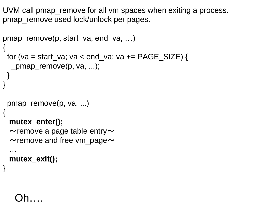UVM call pmap\_remove for all vm spaces when exiting a process. pmap\_remove used lock/unlock per pages.

```
pmap_remove(p, start_va, end_va, …)
{
 for (va = start_va; va < end_va; va += PAGE\_SIZE) {
   _pmap_remove(p, va, ...);
 }
}
_pmap_remove(p, va, ...)
{
  mutex_enter();
  \simremove a page table entry\sim\simremove and free vm_page\sim …
```
 **mutex\_exit();**

#### Oh….

}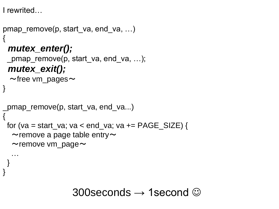I rewrited…

```
pmap_remove(p, start_va, end_va, …)
{
  mutex_enter();
  _pmap_remove(p, start_va, end_va, …);
  mutex_exit();
  \simfree vm_pages\sim}
_pmap_remove(p, start_va, end_va...)
{
 for (va = start_va; va < end_va; va += PAGE\_SIZE) {
  \simremove a page table entry\sim\simremove vm_page\sim …
 }
}
```
300 seconds  $\rightarrow$  1 second  $\odot$